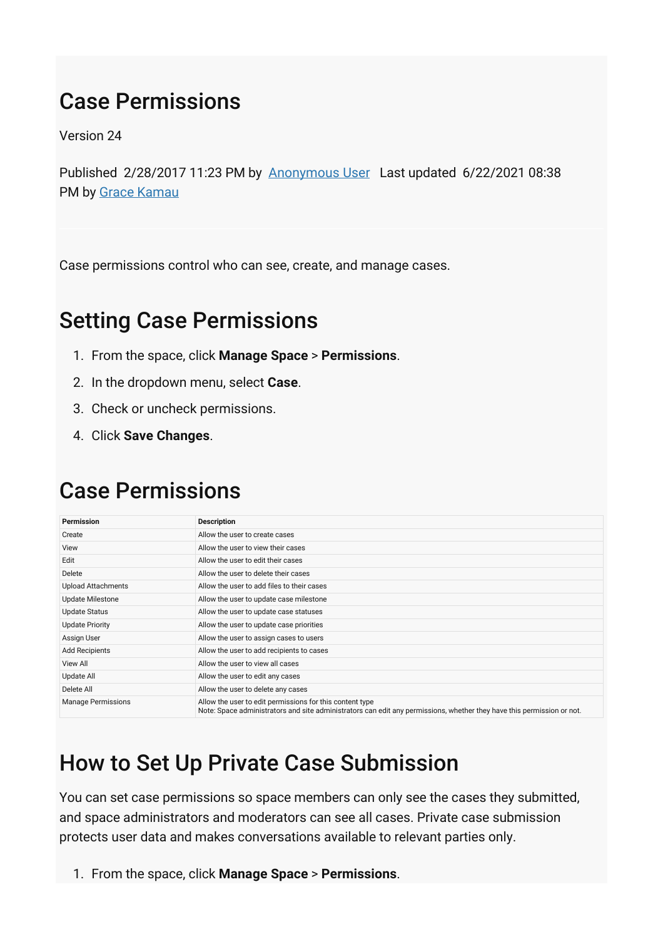## Case Permissions

Version 24

Published 2/28/2017 11:23 PM by [Anonymous User](https://my.axerosolutions.com/people/Anonymous) Last updated 6/22/2021 08:38 PM by [Grace Kamau](https://my.axerosolutions.com/people/gskamau)

Case permissions control who can see, create, and manage cases.

## Setting Case Permissions

- 1. From the space, click **Manage Space** > **Permissions**.
- 2. In the dropdown menu, select **Case**.
- 3. Check or uncheck permissions.
- 4. Click **Save Changes**.

## Case Permissions

| Permission                | <b>Description</b>                                                                                                                                                                 |
|---------------------------|------------------------------------------------------------------------------------------------------------------------------------------------------------------------------------|
| Create                    | Allow the user to create cases                                                                                                                                                     |
| View                      | Allow the user to view their cases                                                                                                                                                 |
| Edit                      | Allow the user to edit their cases                                                                                                                                                 |
| Delete                    | Allow the user to delete their cases                                                                                                                                               |
| <b>Upload Attachments</b> | Allow the user to add files to their cases                                                                                                                                         |
| <b>Update Milestone</b>   | Allow the user to update case milestone                                                                                                                                            |
| <b>Update Status</b>      | Allow the user to update case statuses                                                                                                                                             |
| <b>Update Priority</b>    | Allow the user to update case priorities                                                                                                                                           |
| Assign User               | Allow the user to assign cases to users                                                                                                                                            |
| <b>Add Recipients</b>     | Allow the user to add recipients to cases                                                                                                                                          |
| <b>View All</b>           | Allow the user to view all cases                                                                                                                                                   |
| Update All                | Allow the user to edit any cases                                                                                                                                                   |
| Delete All                | Allow the user to delete any cases                                                                                                                                                 |
| <b>Manage Permissions</b> | Allow the user to edit permissions for this content type<br>Note: Space administrators and site administrators can edit any permissions, whether they have this permission or not. |

## How to Set Up Private Case Submission

You can set case permissions so space members can only see the cases they submitted, and space administrators and moderators can see all cases. Private case submission protects user data and makes conversations available to relevant parties only.

1. From the space, click **Manage Space** > **Permissions**.